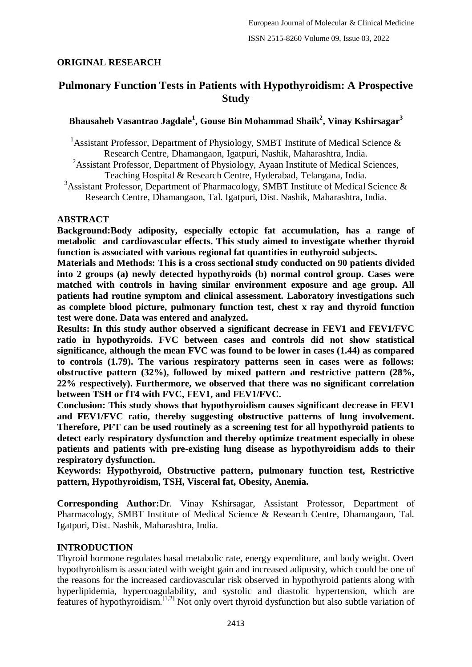## **ORIGINAL RESEARCH**

# **Pulmonary Function Tests in Patients with Hypothyroidism: A Prospective Study**

## **Bhausaheb Vasantrao Jagdale<sup>1</sup> , Gouse Bin Mohammad Shaik<sup>2</sup> , Vinay Kshirsagar<sup>3</sup>**

<sup>1</sup> Assistant Professor, Department of Physiology, SMBT Institute of Medical Science  $\&$ Research Centre, Dhamangaon, Igatpuri, Nashik, Maharashtra, India.

<sup>2</sup>Assistant Professor, Department of Physiology, Ayaan Institute of Medical Sciences, Teaching Hospital & Research Centre, Hyderabad, Telangana, India.

<sup>3</sup>Assistant Professor, Department of Pharmacology, SMBT Institute of Medical Science  $\&$ Research Centre, Dhamangaon, Tal. Igatpuri, Dist. Nashik, Maharashtra, India.

## **ABSTRACT**

**Background:Body adiposity, especially ectopic fat accumulation, has a range of metabolic and cardiovascular effects. This study aimed to investigate whether thyroid function is associated with various regional fat quantities in euthyroid subjects.**

**Materials and Methods: This is a cross sectional study conducted on 90 patients divided into 2 groups (a) newly detected hypothyroids (b) normal control group. Cases were matched with controls in having similar environment exposure and age group. All patients had routine symptom and clinical assessment. Laboratory investigations such as complete blood picture, pulmonary function test, chest x ray and thyroid function test were done. Data was entered and analyzed.**

**Results: In this study author observed a significant decrease in FEV1 and FEV1/FVC ratio in hypothyroids. FVC between cases and controls did not show statistical significance, although the mean FVC was found to be lower in cases (1.44) as compared to controls (1.79). The various respiratory patterns seen in cases were as follows: obstructive pattern (32%), followed by mixed pattern and restrictive pattern (28%, 22% respectively). Furthermore, we observed that there was no significant correlation between TSH or fT4 with FVC, FEV1, and FEV1/FVC.**

**Conclusion: This study shows that hypothyroidism causes significant decrease in FEV1 and FEV1/FVC ratio, thereby suggesting obstructive patterns of lung involvement. Therefore, PFT can be used routinely as a screening test for all hypothyroid patients to detect early respiratory dysfunction and thereby optimize treatment especially in obese patients and patients with pre-existing lung disease as hypothyroidism adds to their respiratory dysfunction.**

**Keywords: Hypothyroid, Obstructive pattern, pulmonary function test, Restrictive pattern, Hypothyroidism, TSH, Visceral fat, Obesity, Anemia.**

**Corresponding Author:**Dr. Vinay Kshirsagar, Assistant Professor, Department of Pharmacology, SMBT Institute of Medical Science & Research Centre, Dhamangaon, Tal. Igatpuri, Dist. Nashik, Maharashtra, India.

## **INTRODUCTION**

Thyroid hormone regulates basal metabolic rate, energy expenditure, and body weight. Overt hypothyroidism is associated with weight gain and increased adiposity, which could be one of the reasons for the increased cardiovascular risk observed in hypothyroid patients along with hyperlipidemia, hypercoagulability, and systolic and diastolic hypertension, which are features of hypothyroidism.[1,2] Not only overt thyroid dysfunction but also subtle variation of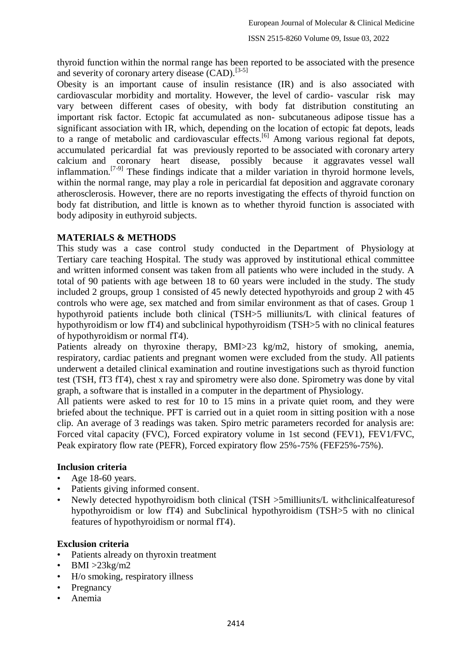thyroid function within the normal range has been reported to be associated with the presence and severity of coronary artery disease (CAD).<sup>[3-5]</sup>

Obesity is an important cause of insulin resistance (IR) and is also associated with cardiovascular morbidity and mortality. However, the level of cardio- vascular risk may vary between different cases of obesity, with body fat distribution constituting an important risk factor. Ectopic fat accumulated as non- subcutaneous adipose tissue has a significant association with IR, which, depending on the location of ectopic fat depots, leads to a range of metabolic and cardiovascular effects. [6] Among various regional fat depots, accumulated pericardial fat was previously reported to be associated with coronary artery calcium and coronary heart disease, possibly because it aggravates vessel wall inflammation.<sup>[7-9]</sup> These findings indicate that a milder variation in thyroid hormone levels, within the normal range, may play a role in pericardial fat deposition and aggravate coronary atherosclerosis. However, there are no reports investigating the effects of thyroid function on body fat distribution, and little is known as to whether thyroid function is associated with body adiposity in euthyroid subjects.

### **MATERIALS & METHODS**

This study was a case control study conducted in the Department of Physiology at Tertiary care teaching Hospital. The study was approved by institutional ethical committee and written informed consent was taken from all patients who were included in the study. A total of 90 patients with age between 18 to 60 years were included in the study. The study included 2 groups, group 1 consisted of 45 newly detected hypothyroids and group 2 with 45 controls who were age, sex matched and from similar environment as that of cases. Group 1 hypothyroid patients include both clinical (TSH>5 milliunits/L with clinical features of hypothyroidism or low fT4) and subclinical hypothyroidism (TSH>5 with no clinical features of hypothyroidism or normal fT4).

Patients already on thyroxine therapy, BMI>23 kg/m2, history of smoking, anemia, respiratory, cardiac patients and pregnant women were excluded from the study. All patients underwent a detailed clinical examination and routine investigations such as thyroid function test (TSH, fT3 fT4), chest x ray and spirometry were also done. Spirometry was done by vital graph, a software that is installed in a computer in the department of Physiology.

All patients were asked to rest for 10 to 15 mins in a private quiet room, and they were briefed about the technique. PFT is carried out in a quiet room in sitting position with a nose clip. An average of 3 readings was taken. Spiro metric parameters recorded for analysis are: Forced vital capacity (FVC), Forced expiratory volume in 1st second (FEV1), FEV1/FVC, Peak expiratory flow rate (PEFR), Forced expiratory flow 25%-75% (FEF25%-75%).

### **Inclusion criteria**

- Age 18-60 years.
- Patients giving informed consent.
- Newly detected hypothyroidism both clinical (TSH >5milliunits/L withclinicalfeaturesof hypothyroidism or low fT4) and Subclinical hypothyroidism (TSH>5 with no clinical features of hypothyroidism or normal fT4).

### **Exclusion criteria**

- Patients already on thyroxin treatment
- $BMI > 23kg/m2$
- H/o smoking, respiratory illness
- **Pregnancy**
- Anemia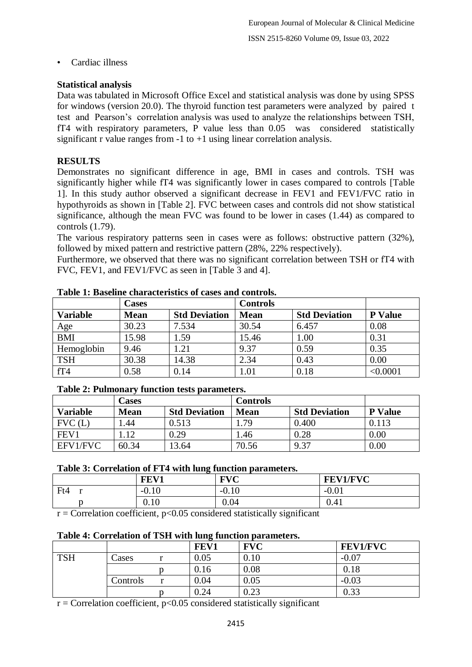• Cardiac illness

## **Statistical analysis**

Data was tabulated in Microsoft Office Excel and statistical analysis was done by using SPSS for windows (version 20.0). The thyroid function test parameters were analyzed by paired t test and Pearson's correlation analysis was used to analyze the relationships between TSH, fT4 with respiratory parameters, P value less than 0.05 was considered statistically significant r value ranges from  $-1$  to  $+1$  using linear correlation analysis.

## **RESULTS**

Demonstrates no significant difference in age, BMI in cases and controls. TSH was significantly higher while fT4 was significantly lower in cases compared to controls [Table 1]. In this study author observed a significant decrease in FEV1 and FEV1/FVC ratio in hypothyroids as shown in [Table 2]. FVC between cases and controls did not show statistical significance, although the mean FVC was found to be lower in cases (1.44) as compared to controls (1.79).

The various respiratory patterns seen in cases were as follows: obstructive pattern (32%), followed by mixed pattern and restrictive pattern (28%, 22% respectively).

Furthermore, we observed that there was no significant correlation between TSH or fT4 with FVC, FEV1, and FEV1/FVC as seen in [Table 3 and 4].

|                 | Cases       |                      | <b>Controls</b> |                      |                |
|-----------------|-------------|----------------------|-----------------|----------------------|----------------|
| <b>Variable</b> | <b>Mean</b> | <b>Std Deviation</b> | <b>Mean</b>     | <b>Std Deviation</b> | <b>P</b> Value |
| Age             | 30.23       | 7.534                | 30.54           | 6.457                | 0.08           |
| <b>BMI</b>      | 15.98       | 1.59                 | 15.46           | 1.00                 | 0.31           |
| Hemoglobin      | 9.46        | 1.21                 | 9.37            | 0.59                 | 0.35           |
| <b>TSH</b>      | 30.38       | 14.38                | 2.34            | 0.43                 | 0.00           |
| fT4             | 0.58        | 0.14                 | 1.01            | 0.18                 | < 0.0001       |

**Table 1: Baseline characteristics of cases and controls.**

### **Table 2: Pulmonary function tests parameters.**

|                 | Cases       |                      | <b>Controls</b> |                      |                |
|-----------------|-------------|----------------------|-----------------|----------------------|----------------|
| <b>Variable</b> | <b>Mean</b> | <b>Std Deviation</b> | <b>Mean</b>     | <b>Std Deviation</b> | <b>P</b> Value |
| FVC(L)          | . 44        | 0.513                | .79             | 0.400                | 0.113          |
| FEV1            | l.12        | 0.29                 | 46.،            | 0.28                 | 0.00           |
| EFV1/FVC        | 60.34       | 3.64                 | 70.56           | 9.37                 | $0.00\,$       |

### **Table 3: Correlation of FT4 with lung function parameters.**

|         | FEV1                        | $\bf FVC$<br>◡           | <b>FEV1/FVC</b>                |
|---------|-----------------------------|--------------------------|--------------------------------|
| Ft4     | $-0.10$                     | 1 <sub>0</sub><br>-v. IV | $\Omega$ $\Omega$ 1<br>$-U.U.$ |
|         | 0.10                        | 0.04                     | 0.41                           |
| __<br>. | $\sim$ $\sim$<br>- - -<br>. | .                        |                                |

 $r =$  Correlation coefficient,  $p < 0.05$  considered statistically significant

### **Table 4: Correlation of TSH with lung function parameters.**

|            |          | FEV1 | <b>FVC</b> | <b>FEV1/FVC</b> |
|------------|----------|------|------------|-----------------|
| <b>TSH</b> | Lases    | 0.05 | 0.10       | $-0.07$         |
|            |          | 0.16 | 0.08       | 0.18            |
|            | Controls | 0.04 | 0.05       | $-0.03$         |
|            |          | 0.24 | 0.23       | 0.33            |

 $r =$  Correlation coefficient,  $p < 0.05$  considered statistically significant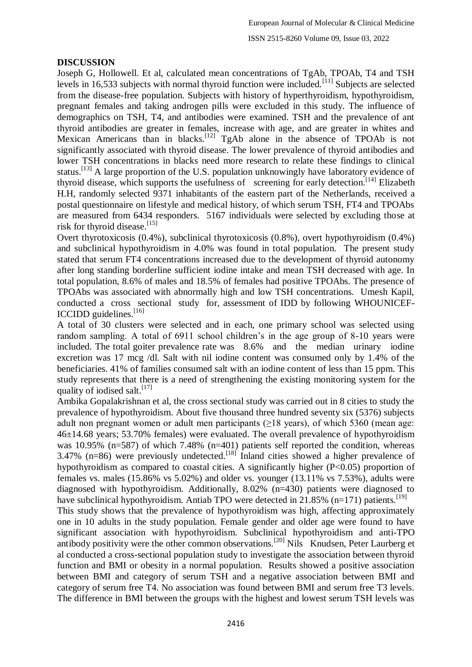## **DISCUSSION**

Joseph G, Hollowell. Et al, calculated mean concentrations of TgAb, TPOAb, T4 and TSH levels in 16,533 subjects with normal thyroid function were included.<sup>[11]</sup> Subjects are selected from the disease-free population. Subjects with history of hyperthyroidism, hypothyroidism, pregnant females and taking androgen pills were excluded in this study. The influence of demographics on TSH, T4, and antibodies were examined. TSH and the prevalence of ant thyroid antibodies are greater in females, increase with age, and are greater in whites and Mexican Americans than in blacks.<sup>[12]</sup> TgAb alone in the absence of TPOAb is not significantly associated with thyroid disease. The lower prevalence of thyroid antibodies and lower TSH concentrations in blacks need more research to relate these findings to clinical status.<sup>[13]</sup> A large proportion of the U.S. population unknowingly have laboratory evidence of thyroid disease, which supports the usefulness of screening for early detection.<sup>[14]</sup> Elizabeth H.H, randomly selected 9371 inhabitants of the eastern part of the Netherlands, received a postal questionnaire on lifestyle and medical history, of which serum TSH, FT4 and TPOAbs are measured from 6434 responders. 5167 individuals were selected by excluding those at risk for thyroid disease.<sup>[15]</sup>

Overt thyrotoxicosis (0.4%), subclinical thyrotoxicosis (0.8%), overt hypothyroidism (0.4%) and subclinical hypothyroidism in 4.0% was found in total population. The present study stated that serum FT4 concentrations increased due to the development of thyroid autonomy after long standing borderline sufficient iodine intake and mean TSH decreased with age. In total population, 8.6% of males and 18.5% of females had positive TPOAbs. The presence of TPOAbs was associated with abnormally high and low TSH concentrations. Umesh Kapil, conducted a cross sectional study for, assessment of IDD by following WHOUNICEF-ICCIDD guidelines.<sup>[16]</sup>

A total of 30 clusters were selected and in each, one primary school was selected using random sampling. A total of 6911 school children's in the age group of 8-10 years were included. The total goiter prevalence rate was 8.6% and the median urinary iodine excretion was 17 mcg /dl. Salt with nil iodine content was consumed only by 1.4% of the beneficiaries. 41% of families consumed salt with an iodine content of less than 15 ppm. This study represents that there is a need of strengthening the existing monitoring system for the quality of iodised salt.  $[17]$ 

Ambika Gopalakrishnan et al, the cross sectional study was carried out in 8 cities to study the prevalence of hypothyroidism. About five thousand three hundred seventy six (5376) subjects adult non pregnant women or adult men participants  $(\geq 18$  years), of which 5360 (mean age: 46±14.68 years; 53.70% females) were evaluated. The overall prevalence of hypothyroidism was 10.95% (n=587) of which 7.48% (n=401) patients self reported the condition, whereas 3.47% (n=86) were previously undetected.<sup>[18]</sup> Inland cities showed a higher prevalence of hypothyroidism as compared to coastal cities. A significantly higher (P<0.05) proportion of females vs. males (15.86% vs 5.02%) and older vs. younger (13.11% vs 7.53%), adults were diagnosed with hypothyroidism. Additionally, 8.02% (n=430) patients were diagnosed to have subclinical hypothyroidism. Antiab TPO were detected in 21.85% (n=171) patients.<sup>[19]</sup>

This study shows that the prevalence of hypothyroidism was high, affecting approximately one in 10 adults in the study population. Female gender and older age were found to have significant association with hypothyroidism. Subclinical hypothyroidism and anti-TPO antibody positivity were the other common observations.<sup>[20]</sup> Nils Knudsen, Peter Laurberg et al conducted a cross-sectional population study to investigate the association between thyroid function and BMI or obesity in a normal population. Results showed a positive association between BMI and category of serum TSH and a negative association between BMI and category of serum free T4. No association was found between BMI and serum free T3 levels. The difference in BMI between the groups with the highest and lowest serum TSH levels was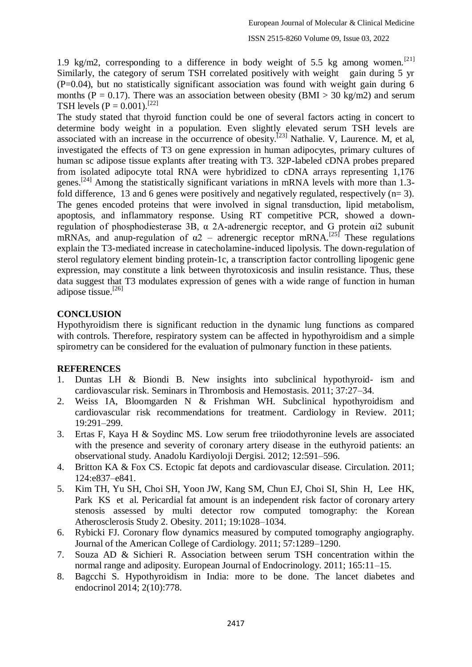1.9 kg/m2, corresponding to a difference in body weight of 5.5 kg among women.<sup>[21]</sup> Similarly, the category of serum TSH correlated positively with weight gain during 5 yr  $(P=0.04)$ , but no statistically significant association was found with weight gain during 6 months ( $P = 0.17$ ). There was an association between obesity ( $BMI > 30$  kg/m2) and serum TSH levels  $(P = 0.001)$ .<sup>[22]</sup>

The study stated that thyroid function could be one of several factors acting in concert to determine body weight in a population. Even slightly elevated serum TSH levels are associated with an increase in the occurrence of obesity.<sup>[23]</sup> Nathalie. V, Laurence. M, et al, investigated the effects of T3 on gene expression in human adipocytes, primary cultures of human sc adipose tissue explants after treating with T3. 32P-labeled cDNA probes prepared from isolated adipocyte total RNA were hybridized to cDNA arrays representing 1,176 genes.<sup>[24]</sup> Among the statistically significant variations in mRNA levels with more than 1.3fold difference, 13 and 6 genes were positively and negatively regulated, respectively  $(n=3)$ . The genes encoded proteins that were involved in signal transduction, lipid metabolism, apoptosis, and inflammatory response. Using RT competitive PCR, showed a downregulation of phosphodiesterase 3B, α 2A-adrenergic receptor, and G protein αi2 subunit mRNAs, and anup-regulation of  $\alpha$ 2 – adrenergic receptor mRNA.<sup>[25]</sup> These regulations explain the T3-mediated increase in catecholamine-induced lipolysis. The down-regulation of sterol regulatory element binding protein-1c, a transcription factor controlling lipogenic gene expression, may constitute a link between thyrotoxicosis and insulin resistance. Thus, these data suggest that T3 modulates expression of genes with a wide range of function in human adipose tissue.<sup>[26]</sup>

### **CONCLUSION**

Hypothyroidism there is significant reduction in the dynamic lung functions as compared with controls. Therefore, respiratory system can be affected in hypothyroidism and a simple spirometry can be considered for the evaluation of pulmonary function in these patients.

### **REFERENCES**

- 1. Duntas LH & Biondi B. New insights into subclinical hypothyroid- ism and cardiovascular risk. Seminars in Thrombosis and Hemostasis. 2011; 37:27–34.
- 2. Weiss IA, Bloomgarden N & Frishman WH. Subclinical hypothyroidism and cardiovascular risk recommendations for treatment. Cardiology in Review. 2011; 19:291–299.
- 3. Ertas F, Kaya H & Soydinc MS. Low serum free triiodothyronine levels are associated with the presence and severity of coronary artery disease in the euthyroid patients: an observational study. Anadolu Kardiyoloji Dergisi. 2012; 12:591–596.
- 4. Britton KA & Fox CS. Ectopic fat depots and cardiovascular disease. Circulation. 2011; 124:e837–e841.
- 5. Kim TH, Yu SH, Choi SH, Yoon JW, Kang SM, Chun EJ, Choi SI, Shin H, Lee HK, Park KS et al. Pericardial fat amount is an independent risk factor of coronary artery stenosis assessed by multi detector row computed tomography: the Korean Atherosclerosis Study 2. Obesity. 2011; 19:1028–1034.
- 6. Rybicki FJ. Coronary flow dynamics measured by computed tomography angiography. Journal of the American College of Cardiology. 2011; 57:1289–1290.
- 7. Souza AD & Sichieri R. Association between serum TSH concentration within the normal range and adiposity. European Journal of Endocrinology. 2011; 165:11–15.
- 8. Bagcchi S. Hypothyroidism in India: more to be done. The lancet diabetes and endocrinol 2014; 2(10):778.